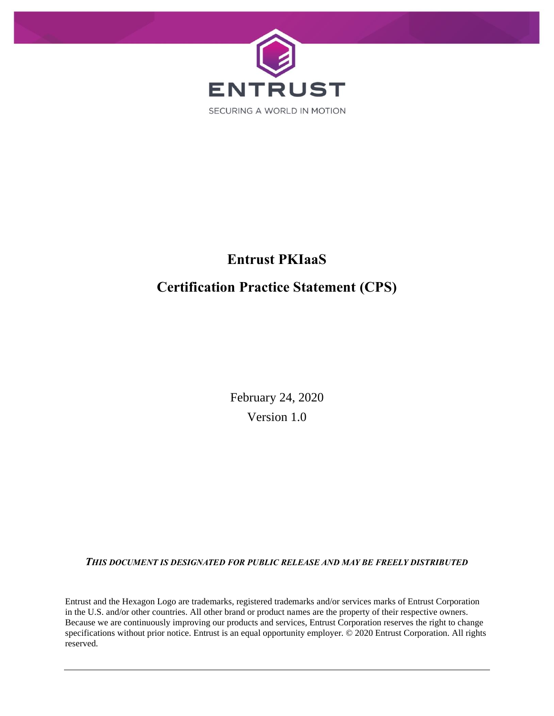

# **Entrust PKIaaS Certification Practice Statement (CPS)**

February 24, 2020 Version 1.0

*THIS DOCUMENT IS DESIGNATED FOR PUBLIC RELEASE AND MAY BE FREELY DISTRIBUTED*

Entrust and the Hexagon Logo are trademarks, registered trademarks and/or services marks of Entrust Corporation in the U.S. and/or other countries. All other brand or product names are the property of their respective owners. Because we are continuously improving our products and services, Entrust Corporation reserves the right to change specifications without prior notice. Entrust is an equal opportunity employer. © 2020 Entrust Corporation. All rights reserved.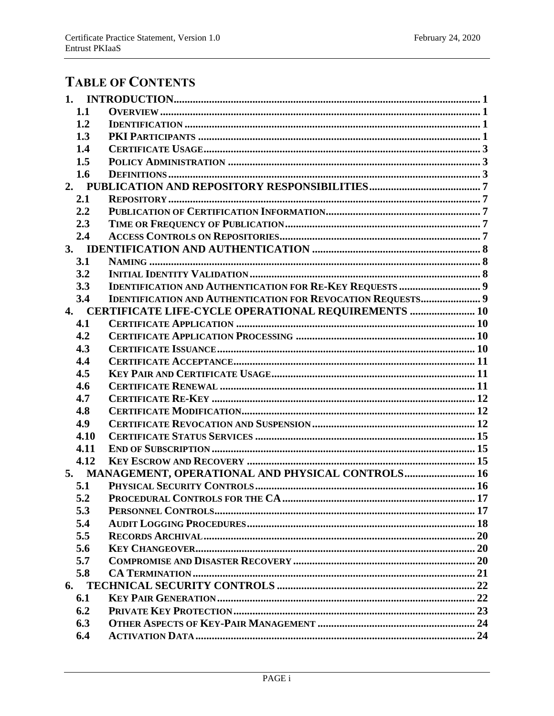## **TABLE OF CONTENTS**

|    | 1.1  |                                                                    |  |
|----|------|--------------------------------------------------------------------|--|
|    | 1.2  |                                                                    |  |
|    | 1.3  |                                                                    |  |
|    | 1.4  |                                                                    |  |
|    | 1.5  |                                                                    |  |
|    | 1.6  |                                                                    |  |
|    |      |                                                                    |  |
|    | 2.1  |                                                                    |  |
|    | 2.2  |                                                                    |  |
|    | 2.3  |                                                                    |  |
|    | 2.4  |                                                                    |  |
|    |      |                                                                    |  |
|    | 3.1  |                                                                    |  |
|    | 3.2  |                                                                    |  |
|    | 3.3  |                                                                    |  |
|    | 3.4  | <b>IDENTIFICATION AND AUTHENTICATION FOR REVOCATION REQUESTS 9</b> |  |
|    |      | 4. CERTIFICATE LIFE-CYCLE OPERATIONAL REQUIREMENTS  10             |  |
|    | 4.1  |                                                                    |  |
|    | 4.2  |                                                                    |  |
|    | 4.3  |                                                                    |  |
|    | 4.4  |                                                                    |  |
|    | 4.5  |                                                                    |  |
|    | 4.6  |                                                                    |  |
|    | 4.7  |                                                                    |  |
|    | 4.8  |                                                                    |  |
|    | 4.9  |                                                                    |  |
|    | 4.10 |                                                                    |  |
|    | 4.11 |                                                                    |  |
|    | 4.12 |                                                                    |  |
|    |      | 5. MANAGEMENT, OPERATIONAL AND PHYSICAL CONTROLS 16                |  |
|    | 5.1  |                                                                    |  |
|    | 5.2  |                                                                    |  |
|    | 5.3  |                                                                    |  |
|    | 5.4  |                                                                    |  |
|    | 5.5  |                                                                    |  |
|    | 5.6  |                                                                    |  |
|    | 5.7  |                                                                    |  |
|    | 5.8  |                                                                    |  |
| 6. |      |                                                                    |  |
|    | 6.1  |                                                                    |  |
|    | 6.2  |                                                                    |  |
|    | 6.3  |                                                                    |  |
|    | 6.4  |                                                                    |  |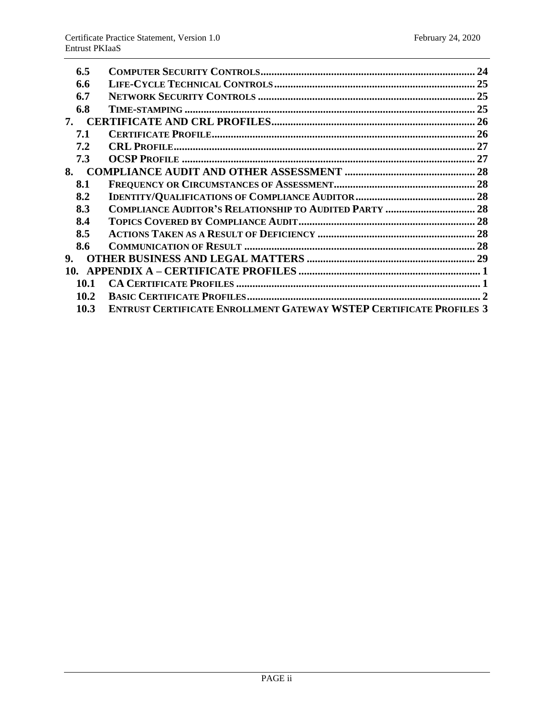| 6.5  |                                                                            | 24 |
|------|----------------------------------------------------------------------------|----|
| 6.6  |                                                                            | 25 |
| 6.7  |                                                                            |    |
| 6.8  |                                                                            |    |
| 7.   |                                                                            |    |
| 7.1  |                                                                            |    |
| 7.2  |                                                                            |    |
| 7.3  |                                                                            |    |
| 8.   |                                                                            |    |
| 8.1  |                                                                            |    |
| 8.2  |                                                                            |    |
| 8.3  |                                                                            |    |
| 8.4  |                                                                            |    |
| 8.5  |                                                                            |    |
| 8.6  |                                                                            |    |
| 9.   |                                                                            |    |
|      |                                                                            |    |
| 10.1 |                                                                            |    |
| 10.2 |                                                                            |    |
| 10.3 | <b>ENTRUST CERTIFICATE ENROLLMENT GATEWAY WSTEP CERTIFICATE PROFILES 3</b> |    |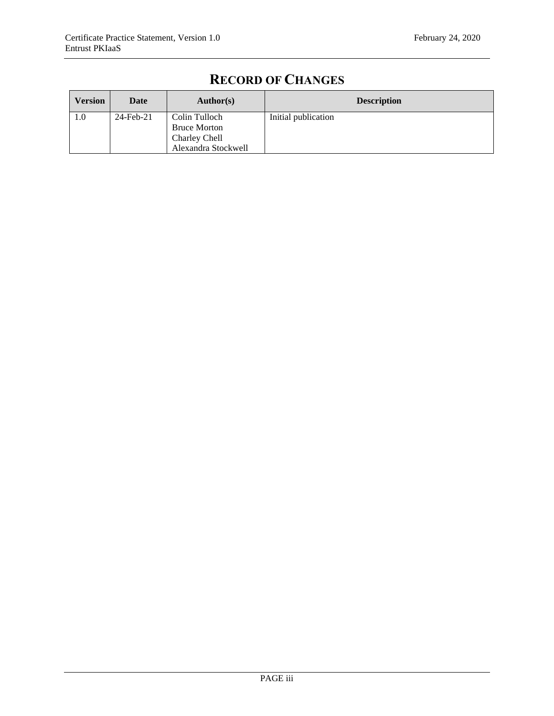| <b>Version</b> | Date      | Author(s)                                                                    | <b>Description</b>  |
|----------------|-----------|------------------------------------------------------------------------------|---------------------|
| 1.0            | 24-Feb-21 | Colin Tulloch<br><b>Bruce Morton</b><br>Charley Chell<br>Alexandra Stockwell | Initial publication |

## **RECORD OF CHANGES**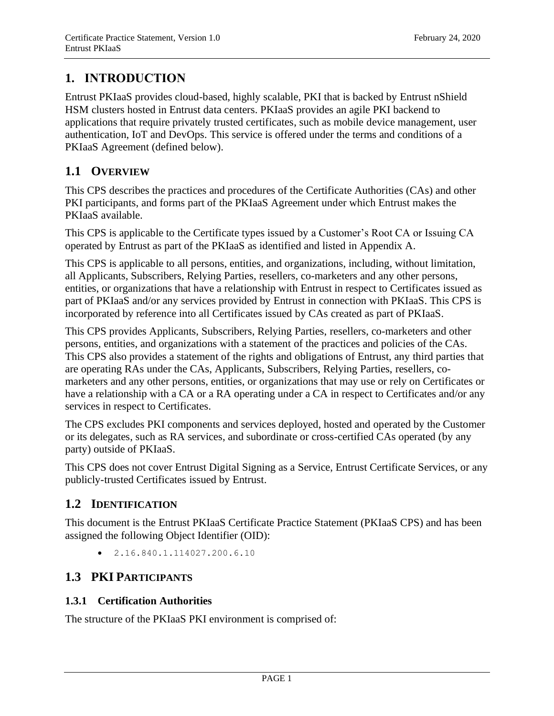## <span id="page-4-0"></span>**1. INTRODUCTION**

Entrust PKIaaS provides cloud-based, highly scalable, PKI that is backed by Entrust nShield HSM clusters hosted in Entrust data centers. PKIaaS provides an agile PKI backend to applications that require privately trusted certificates, such as mobile device management, user authentication, IoT and DevOps. This service is offered under the terms and conditions of a PKIaaS Agreement (defined below).

## <span id="page-4-1"></span>**1.1 OVERVIEW**

This CPS describes the practices and procedures of the Certificate Authorities (CAs) and other PKI participants, and forms part of the PKIaaS Agreement under which Entrust makes the PKIaaS available.

This CPS is applicable to the Certificate types issued by a Customer's Root CA or Issuing CA operated by Entrust as part of the PKIaaS as identified and listed in Appendix A.

This CPS is applicable to all persons, entities, and organizations, including, without limitation, all Applicants, Subscribers, Relying Parties, resellers, co-marketers and any other persons, entities, or organizations that have a relationship with Entrust in respect to Certificates issued as part of PKIaaS and/or any services provided by Entrust in connection with PKIaaS. This CPS is incorporated by reference into all Certificates issued by CAs created as part of PKIaaS.

This CPS provides Applicants, Subscribers, Relying Parties, resellers, co-marketers and other persons, entities, and organizations with a statement of the practices and policies of the CAs. This CPS also provides a statement of the rights and obligations of Entrust, any third parties that are operating RAs under the CAs, Applicants, Subscribers, Relying Parties, resellers, comarketers and any other persons, entities, or organizations that may use or rely on Certificates or have a relationship with a CA or a RA operating under a CA in respect to Certificates and/or any services in respect to Certificates.

The CPS excludes PKI components and services deployed, hosted and operated by the Customer or its delegates, such as RA services, and subordinate or cross-certified CAs operated (by any party) outside of PKIaaS.

This CPS does not cover Entrust Digital Signing as a Service, Entrust Certificate Services, or any publicly-trusted Certificates issued by Entrust.

## <span id="page-4-2"></span>**1.2 IDENTIFICATION**

This document is the Entrust PKIaaS Certificate Practice Statement (PKIaaS CPS) and has been assigned the following Object Identifier (OID):

 $\bullet$  2.16.840.1.114027.200.6.10

## <span id="page-4-3"></span>**1.3 PKI PARTICIPANTS**

## **1.3.1 Certification Authorities**

The structure of the PKIaaS PKI environment is comprised of: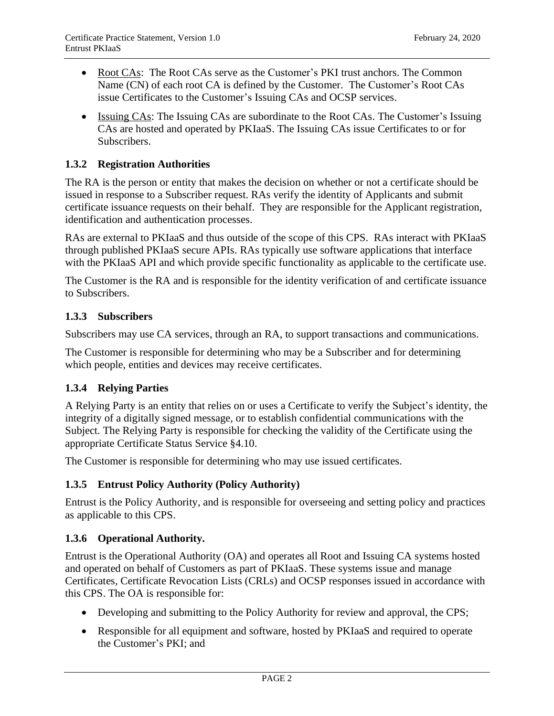- Root CAs: The Root CAs serve as the Customer's PKI trust anchors. The Common Name (CN) of each root CA is defined by the Customer. The Customer's Root CAs issue Certificates to the Customer's Issuing CAs and OCSP services.
- Issuing CAs: The Issuing CAs are subordinate to the Root CAs. The Customer's Issuing CAs are hosted and operated by PKIaaS. The Issuing CAs issue Certificates to or for Subscribers.

## **1.3.2 Registration Authorities**

The RA is the person or entity that makes the decision on whether or not a certificate should be issued in response to a Subscriber request. RAs verify the identity of Applicants and submit certificate issuance requests on their behalf. They are responsible for the Applicant registration, identification and authentication processes.

RAs are external to PKIaaS and thus outside of the scope of this CPS. RAs interact with PKIaaS through published PKIaaS secure APIs. RAs typically use software applications that interface with the PKIaaS API and which provide specific functionality as applicable to the certificate use.

The Customer is the RA and is responsible for the identity verification of and certificate issuance to Subscribers.

#### **1.3.3 Subscribers**

Subscribers may use CA services, through an RA, to support transactions and communications.

The Customer is responsible for determining who may be a Subscriber and for determining which people, entities and devices may receive certificates.

## **1.3.4 Relying Parties**

A Relying Party is an entity that relies on or uses a Certificate to verify the Subject's identity, the integrity of a digitally signed message, or to establish confidential communications with the Subject. The Relying Party is responsible for checking the validity of the Certificate using the appropriate Certificate Status Service §4.10.

The Customer is responsible for determining who may use issued certificates.

#### **1.3.5 Entrust Policy Authority (Policy Authority)**

Entrust is the Policy Authority, and is responsible for overseeing and setting policy and practices as applicable to this CPS.

#### **1.3.6 Operational Authority.**

Entrust is the Operational Authority (OA) and operates all Root and Issuing CA systems hosted and operated on behalf of Customers as part of PKIaaS. These systems issue and manage Certificates, Certificate Revocation Lists (CRLs) and OCSP responses issued in accordance with this CPS. The OA is responsible for:

- Developing and submitting to the Policy Authority for review and approval, the CPS;
- Responsible for all equipment and software, hosted by PKIaaS and required to operate the Customer's PKI; and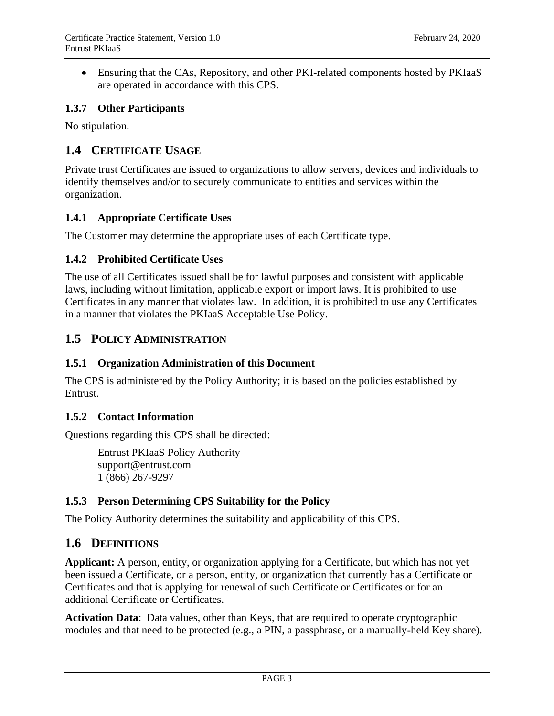• Ensuring that the CAs, Repository, and other PKI-related components hosted by PKIaaS are operated in accordance with this CPS.

## **1.3.7 Other Participants**

No stipulation.

## <span id="page-6-0"></span>**1.4 CERTIFICATE USAGE**

Private trust Certificates are issued to organizations to allow servers, devices and individuals to identify themselves and/or to securely communicate to entities and services within the organization.

## **1.4.1 Appropriate Certificate Uses**

The Customer may determine the appropriate uses of each Certificate type.

## **1.4.2 Prohibited Certificate Uses**

The use of all Certificates issued shall be for lawful purposes and consistent with applicable laws, including without limitation, applicable export or import laws. It is prohibited to use Certificates in any manner that violates law. In addition, it is prohibited to use any Certificates in a manner that violates the PKIaaS Acceptable Use Policy.

## <span id="page-6-1"></span>**1.5 POLICY ADMINISTRATION**

## **1.5.1 Organization Administration of this Document**

The CPS is administered by the Policy Authority; it is based on the policies established by Entrust.

#### **1.5.2 Contact Information**

Questions regarding this CPS shall be directed:

Entrust PKIaaS Policy Authority support@entrust.com 1 (866) 267-9297

## **1.5.3 Person Determining CPS Suitability for the Policy**

The Policy Authority determines the suitability and applicability of this CPS.

## <span id="page-6-2"></span>**1.6 DEFINITIONS**

**Applicant:** A person, entity, or organization applying for a Certificate, but which has not yet been issued a Certificate, or a person, entity, or organization that currently has a Certificate or Certificates and that is applying for renewal of such Certificate or Certificates or for an additional Certificate or Certificates.

**Activation Data**: Data values, other than Keys, that are required to operate cryptographic modules and that need to be protected (e.g., a PIN, a passphrase, or a manually-held Key share).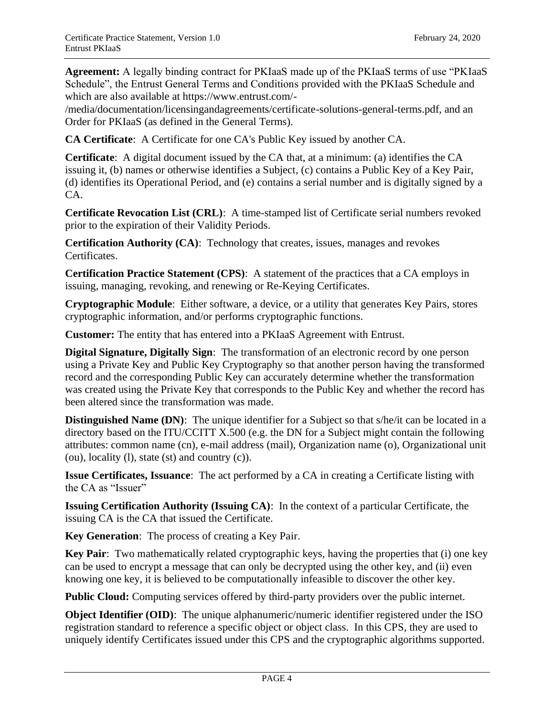**Agreement:** A legally binding contract for PKIaaS made up of the PKIaaS terms of use "PKIaaS Schedule", the Entrust General Terms and Conditions provided with the PKIaaS Schedule and which are also available at https://www.entrust.com/-

/media/documentation/licensingandagreements/certificate-solutions-general-terms.pdf, and an Order for PKIaaS (as defined in the General Terms).

**CA Certificate**: A Certificate for one CA's Public Key issued by another CA.

**Certificate**: A digital document issued by the CA that, at a minimum: (a) identifies the CA issuing it, (b) names or otherwise identifies a Subject, (c) contains a Public Key of a Key Pair, (d) identifies its Operational Period, and (e) contains a serial number and is digitally signed by a CA.

**Certificate Revocation List (CRL)**: A time-stamped list of Certificate serial numbers revoked prior to the expiration of their Validity Periods.

**Certification Authority (CA)**: Technology that creates, issues, manages and revokes Certificates.

**Certification Practice Statement (CPS)**: A statement of the practices that a CA employs in issuing, managing, revoking, and renewing or Re-Keying Certificates.

**Cryptographic Module**: Either software, a device, or a utility that generates Key Pairs, stores cryptographic information, and/or performs cryptographic functions.

**Customer:** The entity that has entered into a PKIaaS Agreement with Entrust.

**Digital Signature, Digitally Sign**: The transformation of an electronic record by one person using a Private Key and Public Key Cryptography so that another person having the transformed record and the corresponding Public Key can accurately determine whether the transformation was created using the Private Key that corresponds to the Public Key and whether the record has been altered since the transformation was made.

**Distinguished Name (DN)**: The unique identifier for a Subject so that s/he/it can be located in a directory based on the ITU/CCITT X.500 (e.g. the DN for a Subject might contain the following attributes: common name (cn), e-mail address (mail), Organization name (o), Organizational unit (ou), locality (l), state (st) and country (c)).

**Issue Certificates, Issuance**: The act performed by a CA in creating a Certificate listing with the CA as "Issuer"

**Issuing Certification Authority (Issuing CA)**: In the context of a particular Certificate, the issuing CA is the CA that issued the Certificate.

**Key Generation**: The process of creating a Key Pair.

**Key Pair**: Two mathematically related cryptographic keys, having the properties that (i) one key can be used to encrypt a message that can only be decrypted using the other key, and (ii) even knowing one key, it is believed to be computationally infeasible to discover the other key.

**Public Cloud:** Computing services offered by third-party providers over the public internet.

**Object Identifier (OID)**: The unique alphanumeric/numeric identifier registered under the ISO registration standard to reference a specific object or object class. In this CPS, they are used to uniquely identify Certificates issued under this CPS and the cryptographic algorithms supported.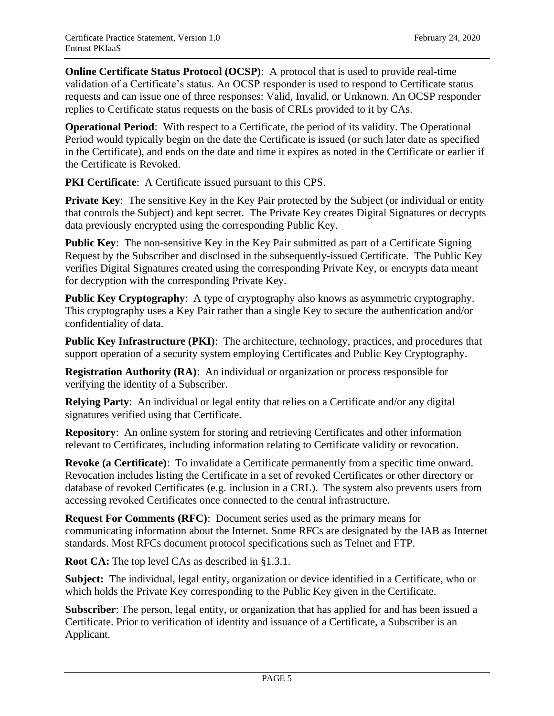**Online Certificate Status Protocol (OCSP)**: A protocol that is used to provide real-time validation of a Certificate's status. An OCSP responder is used to respond to Certificate status requests and can issue one of three responses: Valid, Invalid, or Unknown. An OCSP responder replies to Certificate status requests on the basis of CRLs provided to it by CAs.

**Operational Period**: With respect to a Certificate, the period of its validity. The Operational Period would typically begin on the date the Certificate is issued (or such later date as specified in the Certificate), and ends on the date and time it expires as noted in the Certificate or earlier if the Certificate is Revoked.

**PKI Certificate:** A Certificate issued pursuant to this CPS.

**Private Key:** The sensitive Key in the Key Pair protected by the Subject (or individual or entity that controls the Subject) and kept secret. The Private Key creates Digital Signatures or decrypts data previously encrypted using the corresponding Public Key.

**Public Key:** The non-sensitive Key in the Key Pair submitted as part of a Certificate Signing Request by the Subscriber and disclosed in the subsequently-issued Certificate. The Public Key verifies Digital Signatures created using the corresponding Private Key, or encrypts data meant for decryption with the corresponding Private Key.

**Public Key Cryptography:** A type of cryptography also knows as asymmetric cryptography. This cryptography uses a Key Pair rather than a single Key to secure the authentication and/or confidentiality of data.

**Public Key Infrastructure (PKI)**: The architecture, technology, practices, and procedures that support operation of a security system employing Certificates and Public Key Cryptography.

**Registration Authority (RA)**: An individual or organization or process responsible for verifying the identity of a Subscriber.

**Relying Party:** An individual or legal entity that relies on a Certificate and/or any digital signatures verified using that Certificate.

**Repository**: An online system for storing and retrieving Certificates and other information relevant to Certificates, including information relating to Certificate validity or revocation.

**Revoke (a Certificate)**: To invalidate a Certificate permanently from a specific time onward. Revocation includes listing the Certificate in a set of revoked Certificates or other directory or database of revoked Certificates (e.g. inclusion in a CRL). The system also prevents users from accessing revoked Certificates once connected to the central infrastructure.

**Request For Comments (RFC)**: Document series used as the primary means for communicating information about the Internet. Some RFCs are designated by the IAB as Internet standards. Most RFCs document protocol specifications such as Telnet and FTP.

**Root CA:** The top level CAs as described in §1.3.1.

**Subject:** The individual, legal entity, organization or device identified in a Certificate, who or which holds the Private Key corresponding to the Public Key given in the Certificate.

**Subscriber**: The person, legal entity, or organization that has applied for and has been issued a Certificate. Prior to verification of identity and issuance of a Certificate, a Subscriber is an Applicant.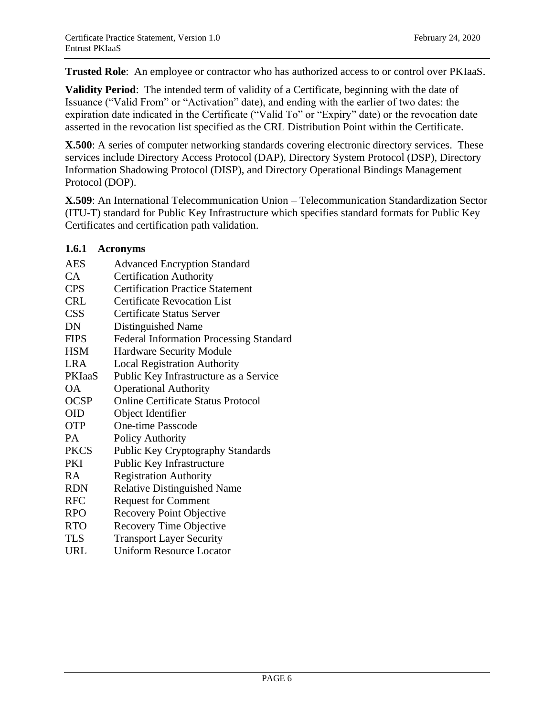**Trusted Role**: An employee or contractor who has authorized access to or control over PKIaaS.

**Validity Period**: The intended term of validity of a Certificate, beginning with the date of Issuance ("Valid From" or "Activation" date), and ending with the earlier of two dates: the expiration date indicated in the Certificate ("Valid To" or "Expiry" date) or the revocation date asserted in the revocation list specified as the CRL Distribution Point within the Certificate.

**X.500**: A series of computer networking standards covering electronic directory services. These services include Directory Access Protocol (DAP), Directory System Protocol (DSP), Directory Information Shadowing Protocol (DISP), and Directory Operational Bindings Management Protocol (DOP).

**X.509**: An International Telecommunication Union – Telecommunication Standardization Sector (ITU-T) standard for Public Key Infrastructure which specifies standard formats for Public Key Certificates and certification path validation.

#### **1.6.1 Acronyms**

| <b>AES</b>  | <b>Advanced Encryption Standard</b>       |
|-------------|-------------------------------------------|
| CA          | <b>Certification Authority</b>            |
| <b>CPS</b>  | <b>Certification Practice Statement</b>   |
| <b>CRL</b>  | <b>Certificate Revocation List</b>        |
| <b>CSS</b>  | Certificate Status Server                 |
| DN          | Distinguished Name                        |
| <b>FIPS</b> | Federal Information Processing Standard   |
| <b>HSM</b>  | <b>Hardware Security Module</b>           |
| <b>LRA</b>  | <b>Local Registration Authority</b>       |
| PKIaaS      | Public Key Infrastructure as a Service    |
| <b>OA</b>   | <b>Operational Authority</b>              |
| <b>OCSP</b> | <b>Online Certificate Status Protocol</b> |
| <b>OID</b>  | Object Identifier                         |
| <b>OTP</b>  | <b>One-time Passcode</b>                  |
| PA          | <b>Policy Authority</b>                   |
| <b>PKCS</b> | <b>Public Key Cryptography Standards</b>  |
| <b>PKI</b>  | Public Key Infrastructure                 |
| RA.         | <b>Registration Authority</b>             |
| <b>RDN</b>  | <b>Relative Distinguished Name</b>        |
| <b>RFC</b>  | <b>Request for Comment</b>                |
| <b>RPO</b>  | <b>Recovery Point Objective</b>           |
| <b>RTO</b>  | <b>Recovery Time Objective</b>            |
| <b>TLS</b>  | <b>Transport Layer Security</b>           |
| URL         | <b>Uniform Resource Locator</b>           |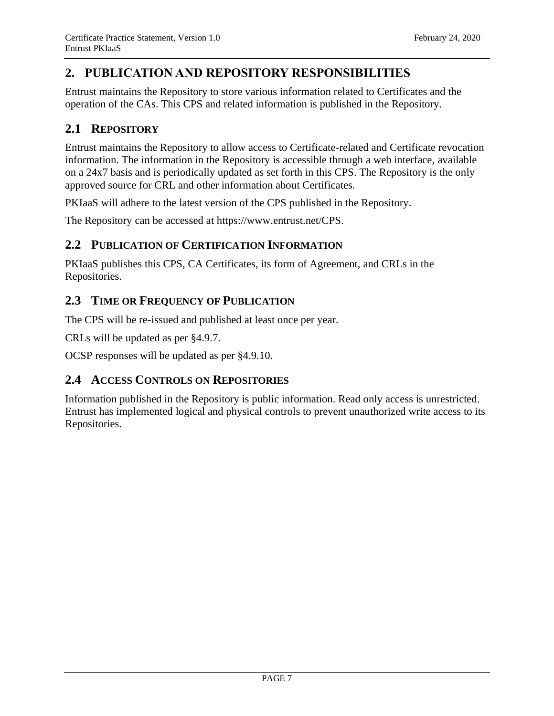## <span id="page-10-0"></span>**2. PUBLICATION AND REPOSITORY RESPONSIBILITIES**

Entrust maintains the Repository to store various information related to Certificates and the operation of the CAs. This CPS and related information is published in the Repository.

## <span id="page-10-1"></span>**2.1 REPOSITORY**

Entrust maintains the Repository to allow access to Certificate-related and Certificate revocation information. The information in the Repository is accessible through a web interface, available on a 24x7 basis and is periodically updated as set forth in this CPS. The Repository is the only approved source for CRL and other information about Certificates.

PKIaaS will adhere to the latest version of the CPS published in the Repository.

The Repository can be accessed at https://www.entrust.net/CPS.

## <span id="page-10-2"></span>**2.2 PUBLICATION OF CERTIFICATION INFORMATION**

PKIaaS publishes this CPS, CA Certificates, its form of Agreement, and CRLs in the Repositories.

## <span id="page-10-3"></span>**2.3 TIME OR FREQUENCY OF PUBLICATION**

The CPS will be re-issued and published at least once per year.

CRLs will be updated as per §4.9.7.

OCSP responses will be updated as per §4.9.10.

## <span id="page-10-4"></span>**2.4 ACCESS CONTROLS ON REPOSITORIES**

Information published in the Repository is public information. Read only access is unrestricted. Entrust has implemented logical and physical controls to prevent unauthorized write access to its Repositories.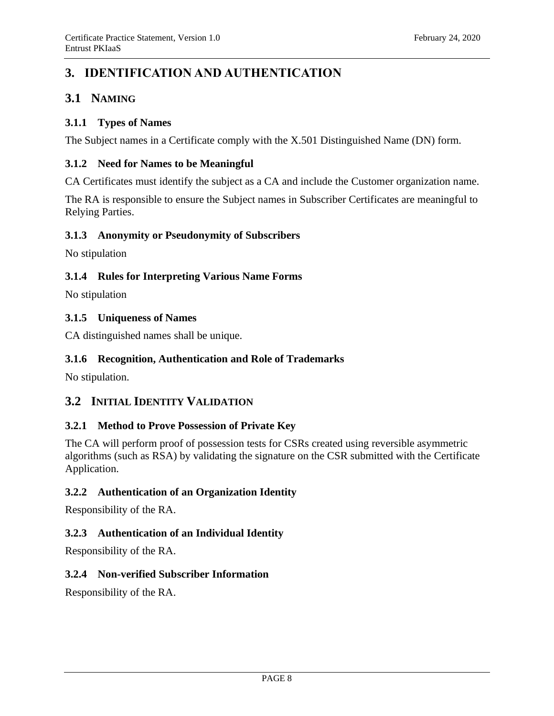## <span id="page-11-0"></span>**3. IDENTIFICATION AND AUTHENTICATION**

## <span id="page-11-1"></span>**3.1 NAMING**

## **3.1.1 Types of Names**

The Subject names in a Certificate comply with the X.501 Distinguished Name (DN) form.

## **3.1.2 Need for Names to be Meaningful**

CA Certificates must identify the subject as a CA and include the Customer organization name.

The RA is responsible to ensure the Subject names in Subscriber Certificates are meaningful to Relying Parties.

## **3.1.3 Anonymity or Pseudonymity of Subscribers**

No stipulation

## **3.1.4 Rules for Interpreting Various Name Forms**

No stipulation

## **3.1.5 Uniqueness of Names**

CA distinguished names shall be unique.

## **3.1.6 Recognition, Authentication and Role of Trademarks**

<span id="page-11-2"></span>No stipulation.

## **3.2 INITIAL IDENTITY VALIDATION**

## **3.2.1 Method to Prove Possession of Private Key**

The CA will perform proof of possession tests for CSRs created using reversible asymmetric algorithms (such as RSA) by validating the signature on the CSR submitted with the Certificate Application.

## **3.2.2 Authentication of an Organization Identity**

Responsibility of the RA.

## **3.2.3 Authentication of an Individual Identity**

Responsibility of the RA.

## **3.2.4 Non-verified Subscriber Information**

Responsibility of the RA.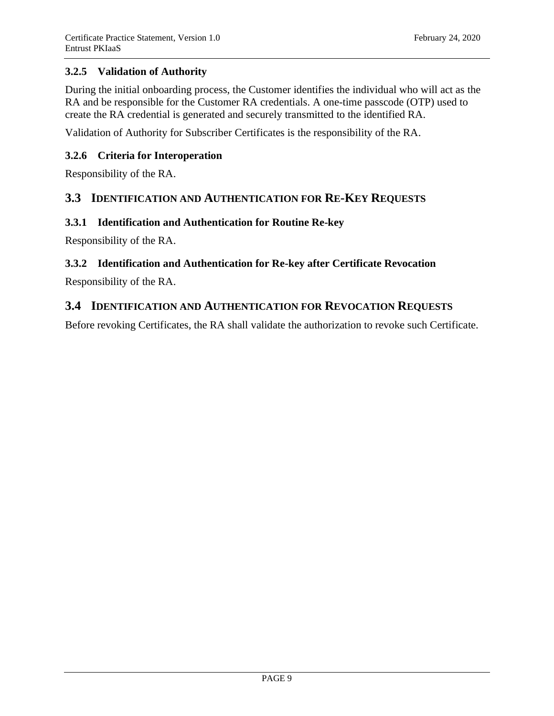## **3.2.5 Validation of Authority**

During the initial onboarding process, the Customer identifies the individual who will act as the RA and be responsible for the Customer RA credentials. A one-time passcode (OTP) used to create the RA credential is generated and securely transmitted to the identified RA.

Validation of Authority for Subscriber Certificates is the responsibility of the RA.

## **3.2.6 Criteria for Interoperation**

Responsibility of the RA.

## <span id="page-12-0"></span>**3.3 IDENTIFICATION AND AUTHENTICATION FOR RE-KEY REQUESTS**

#### **3.3.1 Identification and Authentication for Routine Re-key**

Responsibility of the RA.

## **3.3.2 Identification and Authentication for Re-key after Certificate Revocation**

Responsibility of the RA.

## <span id="page-12-1"></span>**3.4 IDENTIFICATION AND AUTHENTICATION FOR REVOCATION REQUESTS**

Before revoking Certificates, the RA shall validate the authorization to revoke such Certificate.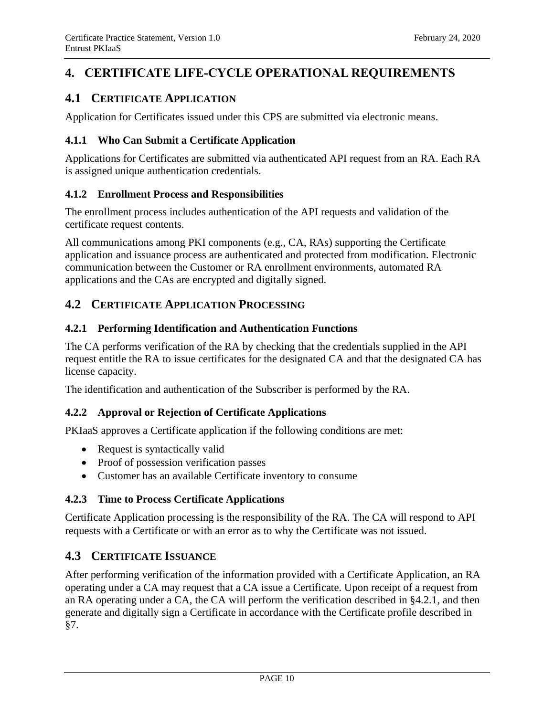## <span id="page-13-0"></span>**4. CERTIFICATE LIFE-CYCLE OPERATIONAL REQUIREMENTS**

## <span id="page-13-1"></span>**4.1 CERTIFICATE APPLICATION**

Application for Certificates issued under this CPS are submitted via electronic means.

## **4.1.1 Who Can Submit a Certificate Application**

Applications for Certificates are submitted via authenticated API request from an RA. Each RA is assigned unique authentication credentials.

## **4.1.2 Enrollment Process and Responsibilities**

The enrollment process includes authentication of the API requests and validation of the certificate request contents.

All communications among PKI components (e.g., CA, RAs) supporting the Certificate application and issuance process are authenticated and protected from modification. Electronic communication between the Customer or RA enrollment environments, automated RA applications and the CAs are encrypted and digitally signed.

## <span id="page-13-2"></span>**4.2 CERTIFICATE APPLICATION PROCESSING**

## **4.2.1 Performing Identification and Authentication Functions**

The CA performs verification of the RA by checking that the credentials supplied in the API request entitle the RA to issue certificates for the designated CA and that the designated CA has license capacity.

The identification and authentication of the Subscriber is performed by the RA.

## **4.2.2 Approval or Rejection of Certificate Applications**

PKIaaS approves a Certificate application if the following conditions are met:

- Request is syntactically valid
- Proof of possession verification passes
- Customer has an available Certificate inventory to consume

## **4.2.3 Time to Process Certificate Applications**

Certificate Application processing is the responsibility of the RA. The CA will respond to API requests with a Certificate or with an error as to why the Certificate was not issued.

## <span id="page-13-3"></span>**4.3 CERTIFICATE ISSUANCE**

After performing verification of the information provided with a Certificate Application, an RA operating under a CA may request that a CA issue a Certificate. Upon receipt of a request from an RA operating under a CA, the CA will perform the verification described in §4.2.1, and then generate and digitally sign a Certificate in accordance with the Certificate profile described in §7.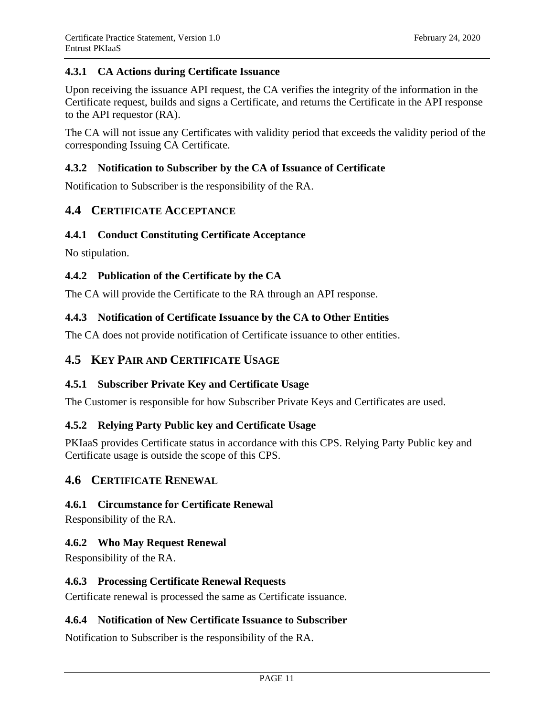#### **4.3.1 CA Actions during Certificate Issuance**

Upon receiving the issuance API request, the CA verifies the integrity of the information in the Certificate request, builds and signs a Certificate, and returns the Certificate in the API response to the API requestor (RA).

The CA will not issue any Certificates with validity period that exceeds the validity period of the corresponding Issuing CA Certificate.

#### **4.3.2 Notification to Subscriber by the CA of Issuance of Certificate**

Notification to Subscriber is the responsibility of the RA.

## <span id="page-14-0"></span>**4.4 CERTIFICATE ACCEPTANCE**

#### **4.4.1 Conduct Constituting Certificate Acceptance**

No stipulation.

#### **4.4.2 Publication of the Certificate by the CA**

The CA will provide the Certificate to the RA through an API response.

#### **4.4.3 Notification of Certificate Issuance by the CA to Other Entities**

The CA does not provide notification of Certificate issuance to other entities.

## <span id="page-14-1"></span>**4.5 KEY PAIR AND CERTIFICATE USAGE**

#### **4.5.1 Subscriber Private Key and Certificate Usage**

The Customer is responsible for how Subscriber Private Keys and Certificates are used.

#### **4.5.2 Relying Party Public key and Certificate Usage**

PKIaaS provides Certificate status in accordance with this CPS. Relying Party Public key and Certificate usage is outside the scope of this CPS.

#### <span id="page-14-2"></span>**4.6 CERTIFICATE RENEWAL**

#### **4.6.1 Circumstance for Certificate Renewal**

Responsibility of the RA.

#### **4.6.2 Who May Request Renewal**

Responsibility of the RA.

#### **4.6.3 Processing Certificate Renewal Requests**

Certificate renewal is processed the same as Certificate issuance.

## **4.6.4 Notification of New Certificate Issuance to Subscriber**

Notification to Subscriber is the responsibility of the RA.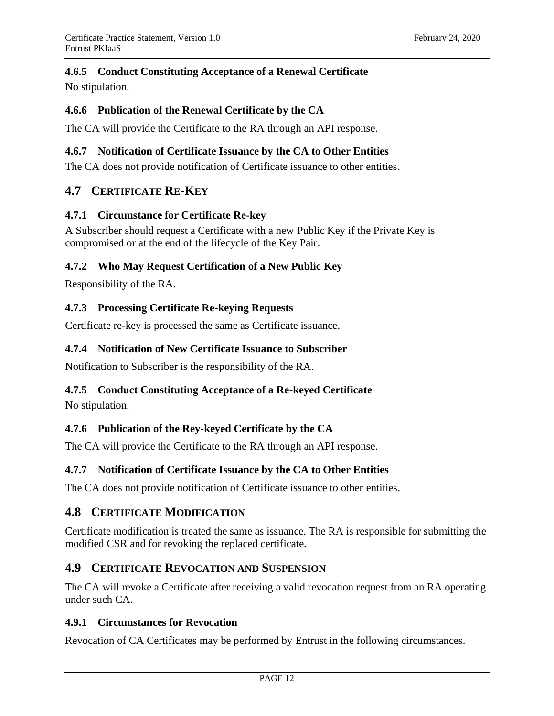## **4.6.5 Conduct Constituting Acceptance of a Renewal Certificate**

No stipulation.

#### **4.6.6 Publication of the Renewal Certificate by the CA**

The CA will provide the Certificate to the RA through an API response.

## **4.6.7 Notification of Certificate Issuance by the CA to Other Entities**

The CA does not provide notification of Certificate issuance to other entities.

## <span id="page-15-0"></span>**4.7 CERTIFICATE RE-KEY**

#### **4.7.1 Circumstance for Certificate Re-key**

A Subscriber should request a Certificate with a new Public Key if the Private Key is compromised or at the end of the lifecycle of the Key Pair.

## **4.7.2 Who May Request Certification of a New Public Key**

Responsibility of the RA.

## **4.7.3 Processing Certificate Re-keying Requests**

Certificate re-key is processed the same as Certificate issuance.

#### **4.7.4 Notification of New Certificate Issuance to Subscriber**

Notification to Subscriber is the responsibility of the RA.

## **4.7.5 Conduct Constituting Acceptance of a Re-keyed Certificate**

No stipulation.

## **4.7.6 Publication of the Rey-keyed Certificate by the CA**

The CA will provide the Certificate to the RA through an API response.

## **4.7.7 Notification of Certificate Issuance by the CA to Other Entities**

The CA does not provide notification of Certificate issuance to other entities.

## <span id="page-15-1"></span>**4.8 CERTIFICATE MODIFICATION**

Certificate modification is treated the same as issuance. The RA is responsible for submitting the modified CSR and for revoking the replaced certificate.

## <span id="page-15-2"></span>**4.9 CERTIFICATE REVOCATION AND SUSPENSION**

The CA will revoke a Certificate after receiving a valid revocation request from an RA operating under such CA.

#### **4.9.1 Circumstances for Revocation**

Revocation of CA Certificates may be performed by Entrust in the following circumstances.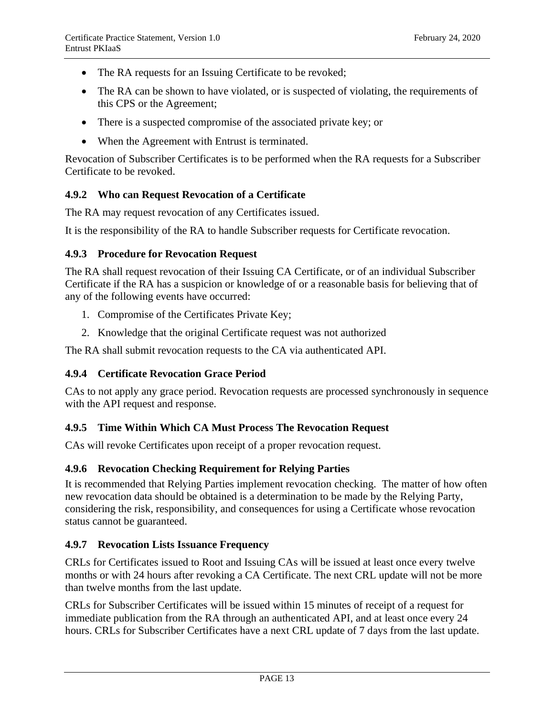- The RA requests for an Issuing Certificate to be revoked;
- The RA can be shown to have violated, or is suspected of violating, the requirements of this CPS or the Agreement;
- There is a suspected compromise of the associated private key; or
- When the Agreement with Entrust is terminated.

Revocation of Subscriber Certificates is to be performed when the RA requests for a Subscriber Certificate to be revoked.

#### **4.9.2 Who can Request Revocation of a Certificate**

The RA may request revocation of any Certificates issued.

It is the responsibility of the RA to handle Subscriber requests for Certificate revocation.

#### **4.9.3 Procedure for Revocation Request**

The RA shall request revocation of their Issuing CA Certificate, or of an individual Subscriber Certificate if the RA has a suspicion or knowledge of or a reasonable basis for believing that of any of the following events have occurred:

- 1. Compromise of the Certificates Private Key;
- 2. Knowledge that the original Certificate request was not authorized

The RA shall submit revocation requests to the CA via authenticated API.

#### **4.9.4 Certificate Revocation Grace Period**

CAs to not apply any grace period. Revocation requests are processed synchronously in sequence with the API request and response.

#### **4.9.5 Time Within Which CA Must Process The Revocation Request**

CAs will revoke Certificates upon receipt of a proper revocation request.

#### **4.9.6 Revocation Checking Requirement for Relying Parties**

It is recommended that Relying Parties implement revocation checking. The matter of how often new revocation data should be obtained is a determination to be made by the Relying Party, considering the risk, responsibility, and consequences for using a Certificate whose revocation status cannot be guaranteed.

#### **4.9.7 Revocation Lists Issuance Frequency**

CRLs for Certificates issued to Root and Issuing CAs will be issued at least once every twelve months or with 24 hours after revoking a CA Certificate. The next CRL update will not be more than twelve months from the last update.

CRLs for Subscriber Certificates will be issued within 15 minutes of receipt of a request for immediate publication from the RA through an authenticated API, and at least once every 24 hours. CRLs for Subscriber Certificates have a next CRL update of 7 days from the last update.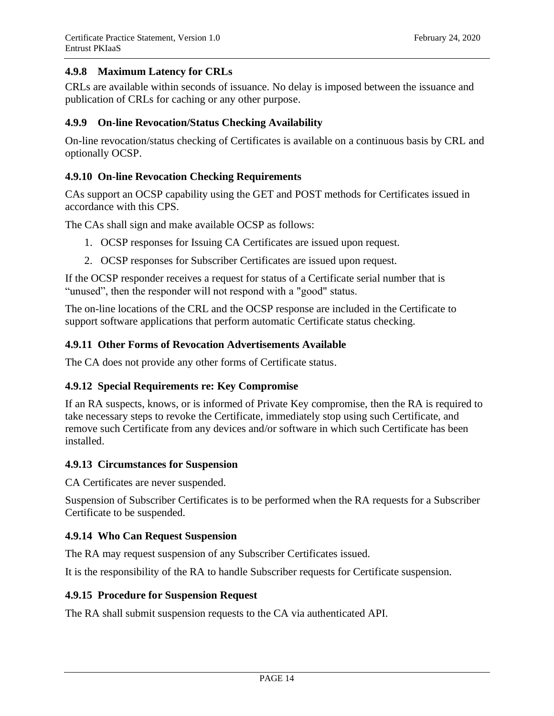## **4.9.8 Maximum Latency for CRLs**

CRLs are available within seconds of issuance. No delay is imposed between the issuance and publication of CRLs for caching or any other purpose.

## **4.9.9 On-line Revocation/Status Checking Availability**

On-line revocation/status checking of Certificates is available on a continuous basis by CRL and optionally OCSP.

#### **4.9.10 On-line Revocation Checking Requirements**

CAs support an OCSP capability using the GET and POST methods for Certificates issued in accordance with this CPS.

The CAs shall sign and make available OCSP as follows:

- 1. OCSP responses for Issuing CA Certificates are issued upon request.
- 2. OCSP responses for Subscriber Certificates are issued upon request.

If the OCSP responder receives a request for status of a Certificate serial number that is "unused", then the responder will not respond with a "good" status.

The on-line locations of the CRL and the OCSP response are included in the Certificate to support software applications that perform automatic Certificate status checking.

#### **4.9.11 Other Forms of Revocation Advertisements Available**

The CA does not provide any other forms of Certificate status.

#### **4.9.12 Special Requirements re: Key Compromise**

If an RA suspects, knows, or is informed of Private Key compromise, then the RA is required to take necessary steps to revoke the Certificate, immediately stop using such Certificate, and remove such Certificate from any devices and/or software in which such Certificate has been installed.

#### **4.9.13 Circumstances for Suspension**

CA Certificates are never suspended.

Suspension of Subscriber Certificates is to be performed when the RA requests for a Subscriber Certificate to be suspended.

#### **4.9.14 Who Can Request Suspension**

The RA may request suspension of any Subscriber Certificates issued.

It is the responsibility of the RA to handle Subscriber requests for Certificate suspension.

#### **4.9.15 Procedure for Suspension Request**

The RA shall submit suspension requests to the CA via authenticated API.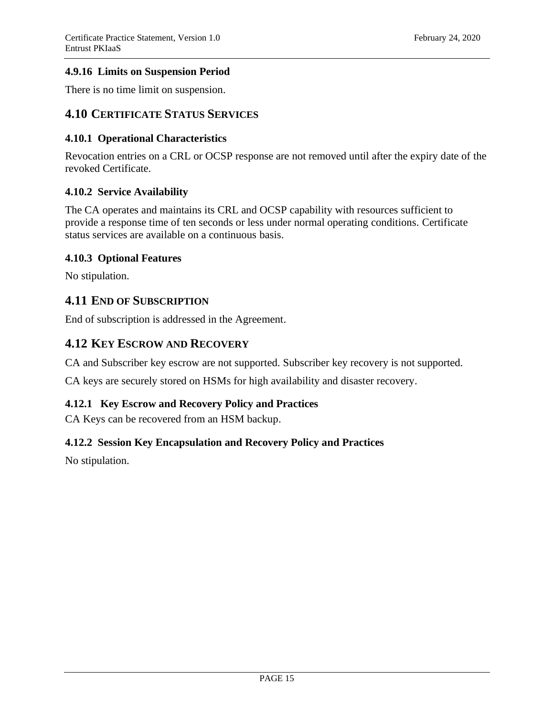## **4.9.16 Limits on Suspension Period**

There is no time limit on suspension.

## <span id="page-18-0"></span>**4.10 CERTIFICATE STATUS SERVICES**

#### **4.10.1 Operational Characteristics**

Revocation entries on a CRL or OCSP response are not removed until after the expiry date of the revoked Certificate.

#### **4.10.2 Service Availability**

The CA operates and maintains its CRL and OCSP capability with resources sufficient to provide a response time of ten seconds or less under normal operating conditions. Certificate status services are available on a continuous basis.

#### **4.10.3 Optional Features**

No stipulation.

## <span id="page-18-1"></span>**4.11 END OF SUBSCRIPTION**

End of subscription is addressed in the Agreement.

## <span id="page-18-2"></span>**4.12 KEY ESCROW AND RECOVERY**

CA and Subscriber key escrow are not supported. Subscriber key recovery is not supported.

CA keys are securely stored on HSMs for high availability and disaster recovery.

## **4.12.1 Key Escrow and Recovery Policy and Practices**

CA Keys can be recovered from an HSM backup.

## **4.12.2 Session Key Encapsulation and Recovery Policy and Practices**

No stipulation.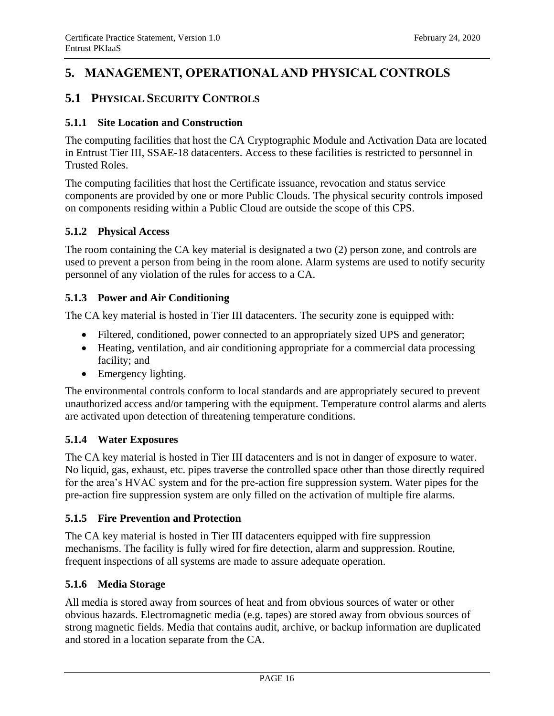## <span id="page-19-0"></span>**5. MANAGEMENT, OPERATIONAL AND PHYSICAL CONTROLS**

## <span id="page-19-1"></span>**5.1 PHYSICAL SECURITY CONTROLS**

## **5.1.1 Site Location and Construction**

The computing facilities that host the CA Cryptographic Module and Activation Data are located in Entrust Tier III, SSAE-18 datacenters. Access to these facilities is restricted to personnel in Trusted Roles.

The computing facilities that host the Certificate issuance, revocation and status service components are provided by one or more Public Clouds. The physical security controls imposed on components residing within a Public Cloud are outside the scope of this CPS.

## **5.1.2 Physical Access**

The room containing the CA key material is designated a two (2) person zone, and controls are used to prevent a person from being in the room alone. Alarm systems are used to notify security personnel of any violation of the rules for access to a CA.

## **5.1.3 Power and Air Conditioning**

The CA key material is hosted in Tier III datacenters. The security zone is equipped with:

- Filtered, conditioned, power connected to an appropriately sized UPS and generator;
- Heating, ventilation, and air conditioning appropriate for a commercial data processing facility; and
- Emergency lighting.

The environmental controls conform to local standards and are appropriately secured to prevent unauthorized access and/or tampering with the equipment. Temperature control alarms and alerts are activated upon detection of threatening temperature conditions.

## **5.1.4 Water Exposures**

The CA key material is hosted in Tier III datacenters and is not in danger of exposure to water. No liquid, gas, exhaust, etc. pipes traverse the controlled space other than those directly required for the area's HVAC system and for the pre-action fire suppression system. Water pipes for the pre-action fire suppression system are only filled on the activation of multiple fire alarms.

## **5.1.5 Fire Prevention and Protection**

The CA key material is hosted in Tier III datacenters equipped with fire suppression mechanisms. The facility is fully wired for fire detection, alarm and suppression. Routine, frequent inspections of all systems are made to assure adequate operation.

## **5.1.6 Media Storage**

All media is stored away from sources of heat and from obvious sources of water or other obvious hazards. Electromagnetic media (e.g. tapes) are stored away from obvious sources of strong magnetic fields. Media that contains audit, archive, or backup information are duplicated and stored in a location separate from the CA.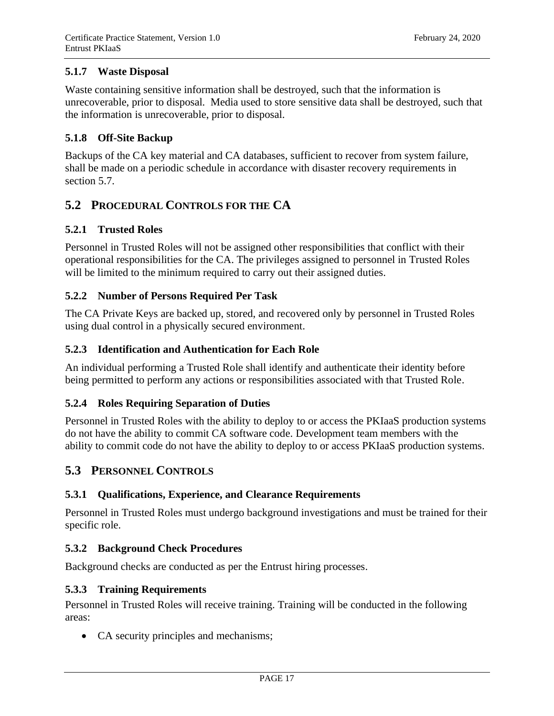## **5.1.7 Waste Disposal**

Waste containing sensitive information shall be destroyed, such that the information is unrecoverable, prior to disposal. Media used to store sensitive data shall be destroyed, such that the information is unrecoverable, prior to disposal.

## **5.1.8 Off-Site Backup**

Backups of the CA key material and CA databases, sufficient to recover from system failure, shall be made on a periodic schedule in accordance with disaster recovery requirements in section 5.7.

## <span id="page-20-0"></span>**5.2 PROCEDURAL CONTROLS FOR THE CA**

## **5.2.1 Trusted Roles**

Personnel in Trusted Roles will not be assigned other responsibilities that conflict with their operational responsibilities for the CA. The privileges assigned to personnel in Trusted Roles will be limited to the minimum required to carry out their assigned duties.

## **5.2.2 Number of Persons Required Per Task**

The CA Private Keys are backed up, stored, and recovered only by personnel in Trusted Roles using dual control in a physically secured environment.

## **5.2.3 Identification and Authentication for Each Role**

An individual performing a Trusted Role shall identify and authenticate their identity before being permitted to perform any actions or responsibilities associated with that Trusted Role.

## **5.2.4 Roles Requiring Separation of Duties**

Personnel in Trusted Roles with the ability to deploy to or access the PKIaaS production systems do not have the ability to commit CA software code. Development team members with the ability to commit code do not have the ability to deploy to or access PKIaaS production systems.

## <span id="page-20-1"></span>**5.3 PERSONNEL CONTROLS**

## **5.3.1 Qualifications, Experience, and Clearance Requirements**

Personnel in Trusted Roles must undergo background investigations and must be trained for their specific role.

## **5.3.2 Background Check Procedures**

Background checks are conducted as per the Entrust hiring processes.

## **5.3.3 Training Requirements**

Personnel in Trusted Roles will receive training. Training will be conducted in the following areas:

• CA security principles and mechanisms;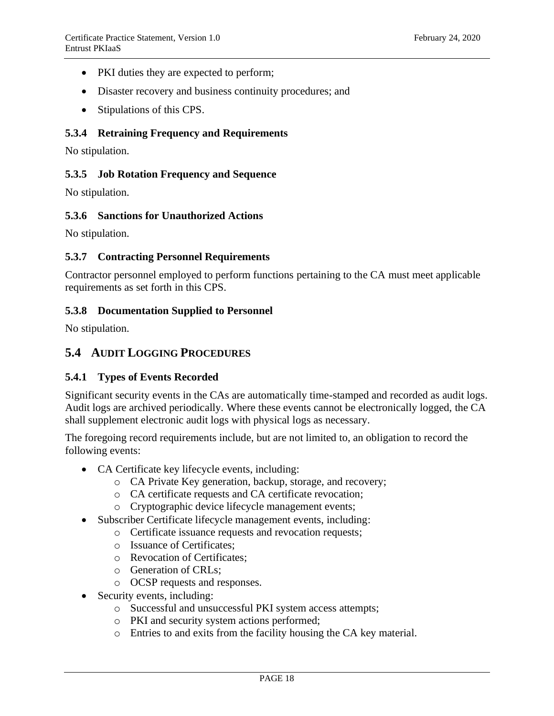- PKI duties they are expected to perform;
- Disaster recovery and business continuity procedures; and
- Stipulations of this CPS.

#### **5.3.4 Retraining Frequency and Requirements**

No stipulation.

#### **5.3.5 Job Rotation Frequency and Sequence**

No stipulation.

## **5.3.6 Sanctions for Unauthorized Actions**

No stipulation.

#### **5.3.7 Contracting Personnel Requirements**

Contractor personnel employed to perform functions pertaining to the CA must meet applicable requirements as set forth in this CPS.

#### **5.3.8 Documentation Supplied to Personnel**

No stipulation.

## <span id="page-21-0"></span>**5.4 AUDIT LOGGING PROCEDURES**

#### **5.4.1 Types of Events Recorded**

Significant security events in the CAs are automatically time-stamped and recorded as audit logs. Audit logs are archived periodically. Where these events cannot be electronically logged, the CA shall supplement electronic audit logs with physical logs as necessary.

The foregoing record requirements include, but are not limited to, an obligation to record the following events:

- CA Certificate key lifecycle events, including:
	- o CA Private Key generation, backup, storage, and recovery;
	- o CA certificate requests and CA certificate revocation;
	- o Cryptographic device lifecycle management events;
- Subscriber Certificate lifecycle management events, including:
	- o Certificate issuance requests and revocation requests;
		- o Issuance of Certificates;
		- o Revocation of Certificates;
		- o Generation of CRLs;
		- o OCSP requests and responses.
- Security events, including:
	- o Successful and unsuccessful PKI system access attempts;
	- o PKI and security system actions performed;
	- o Entries to and exits from the facility housing the CA key material.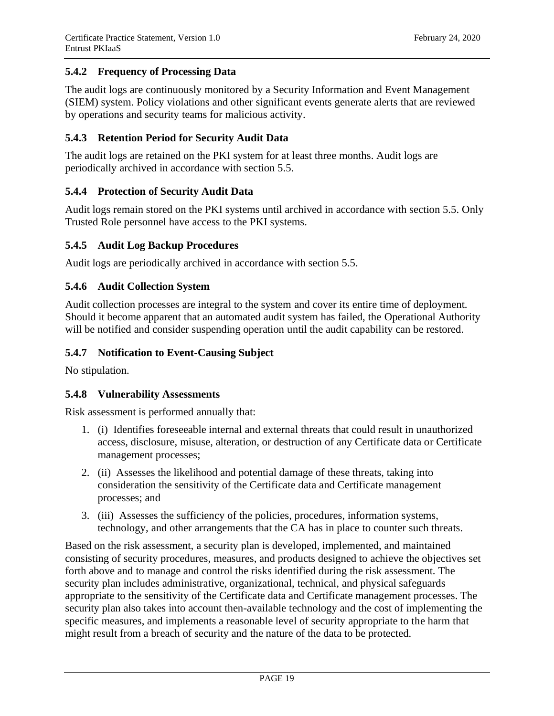## **5.4.2 Frequency of Processing Data**

The audit logs are continuously monitored by a Security Information and Event Management (SIEM) system. Policy violations and other significant events generate alerts that are reviewed by operations and security teams for malicious activity.

## **5.4.3 Retention Period for Security Audit Data**

The audit logs are retained on the PKI system for at least three months. Audit logs are periodically archived in accordance with section 5.5.

## **5.4.4 Protection of Security Audit Data**

Audit logs remain stored on the PKI systems until archived in accordance with section 5.5. Only Trusted Role personnel have access to the PKI systems.

## **5.4.5 Audit Log Backup Procedures**

Audit logs are periodically archived in accordance with section 5.5.

## **5.4.6 Audit Collection System**

Audit collection processes are integral to the system and cover its entire time of deployment. Should it become apparent that an automated audit system has failed, the Operational Authority will be notified and consider suspending operation until the audit capability can be restored.

#### **5.4.7 Notification to Event-Causing Subject**

No stipulation.

## **5.4.8 Vulnerability Assessments**

Risk assessment is performed annually that:

- 1. (i) Identifies foreseeable internal and external threats that could result in unauthorized access, disclosure, misuse, alteration, or destruction of any Certificate data or Certificate management processes;
- 2. (ii) Assesses the likelihood and potential damage of these threats, taking into consideration the sensitivity of the Certificate data and Certificate management processes; and
- 3. (iii) Assesses the sufficiency of the policies, procedures, information systems, technology, and other arrangements that the CA has in place to counter such threats.

Based on the risk assessment, a security plan is developed, implemented, and maintained consisting of security procedures, measures, and products designed to achieve the objectives set forth above and to manage and control the risks identified during the risk assessment. The security plan includes administrative, organizational, technical, and physical safeguards appropriate to the sensitivity of the Certificate data and Certificate management processes. The security plan also takes into account then-available technology and the cost of implementing the specific measures, and implements a reasonable level of security appropriate to the harm that might result from a breach of security and the nature of the data to be protected.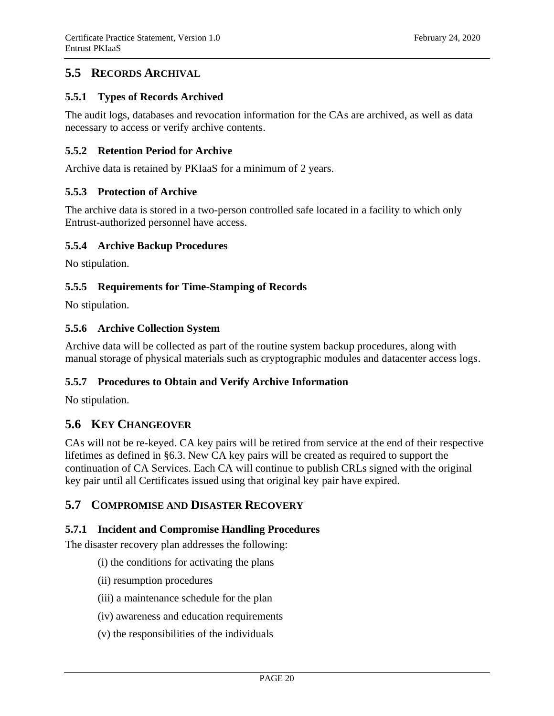## <span id="page-23-0"></span>**5.5 RECORDS ARCHIVAL**

#### **5.5.1 Types of Records Archived**

The audit logs, databases and revocation information for the CAs are archived, as well as data necessary to access or verify archive contents.

#### **5.5.2 Retention Period for Archive**

Archive data is retained by PKIaaS for a minimum of 2 years.

#### **5.5.3 Protection of Archive**

The archive data is stored in a two-person controlled safe located in a facility to which only Entrust-authorized personnel have access.

#### **5.5.4 Archive Backup Procedures**

No stipulation.

#### **5.5.5 Requirements for Time-Stamping of Records**

No stipulation.

#### **5.5.6 Archive Collection System**

Archive data will be collected as part of the routine system backup procedures, along with manual storage of physical materials such as cryptographic modules and datacenter access logs.

#### **5.5.7 Procedures to Obtain and Verify Archive Information**

No stipulation.

## <span id="page-23-1"></span>**5.6 KEY CHANGEOVER**

CAs will not be re-keyed. CA key pairs will be retired from service at the end of their respective lifetimes as defined in §6.3. New CA key pairs will be created as required to support the continuation of CA Services. Each CA will continue to publish CRLs signed with the original key pair until all Certificates issued using that original key pair have expired.

## <span id="page-23-2"></span>**5.7 COMPROMISE AND DISASTER RECOVERY**

#### **5.7.1 Incident and Compromise Handling Procedures**

The disaster recovery plan addresses the following:

- (i) the conditions for activating the plans
- (ii) resumption procedures
- (iii) a maintenance schedule for the plan
- (iv) awareness and education requirements
- (v) the responsibilities of the individuals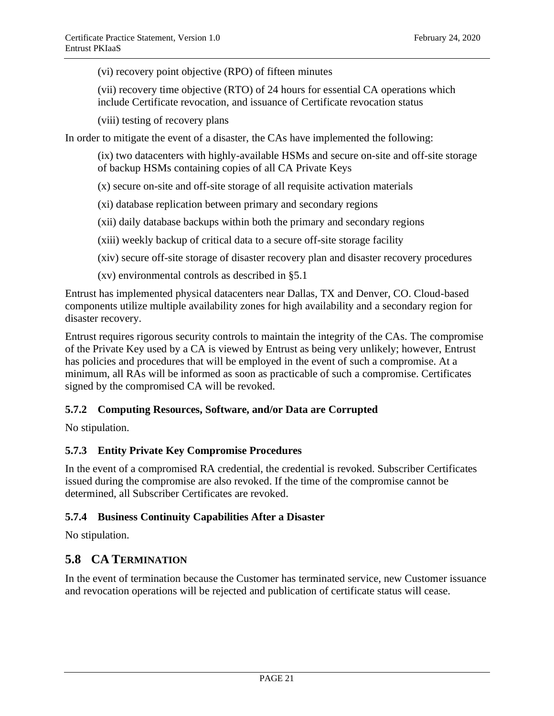(vi) recovery point objective (RPO) of fifteen minutes

(vii) recovery time objective (RTO) of 24 hours for essential CA operations which include Certificate revocation, and issuance of Certificate revocation status

(viii) testing of recovery plans

In order to mitigate the event of a disaster, the CAs have implemented the following:

(ix) two datacenters with highly-available HSMs and secure on-site and off-site storage of backup HSMs containing copies of all CA Private Keys

(x) secure on-site and off-site storage of all requisite activation materials

(xi) database replication between primary and secondary regions

(xii) daily database backups within both the primary and secondary regions

(xiii) weekly backup of critical data to a secure off-site storage facility

- (xiv) secure off-site storage of disaster recovery plan and disaster recovery procedures
- (xv) environmental controls as described in §5.1

Entrust has implemented physical datacenters near Dallas, TX and Denver, CO. Cloud-based components utilize multiple availability zones for high availability and a secondary region for disaster recovery.

Entrust requires rigorous security controls to maintain the integrity of the CAs. The compromise of the Private Key used by a CA is viewed by Entrust as being very unlikely; however, Entrust has policies and procedures that will be employed in the event of such a compromise. At a minimum, all RAs will be informed as soon as practicable of such a compromise. Certificates signed by the compromised CA will be revoked.

## **5.7.2 Computing Resources, Software, and/or Data are Corrupted**

No stipulation.

#### **5.7.3 Entity Private Key Compromise Procedures**

In the event of a compromised RA credential, the credential is revoked. Subscriber Certificates issued during the compromise are also revoked. If the time of the compromise cannot be determined, all Subscriber Certificates are revoked.

#### **5.7.4 Business Continuity Capabilities After a Disaster**

No stipulation.

## <span id="page-24-0"></span>**5.8 CA TERMINATION**

In the event of termination because the Customer has terminated service, new Customer issuance and revocation operations will be rejected and publication of certificate status will cease.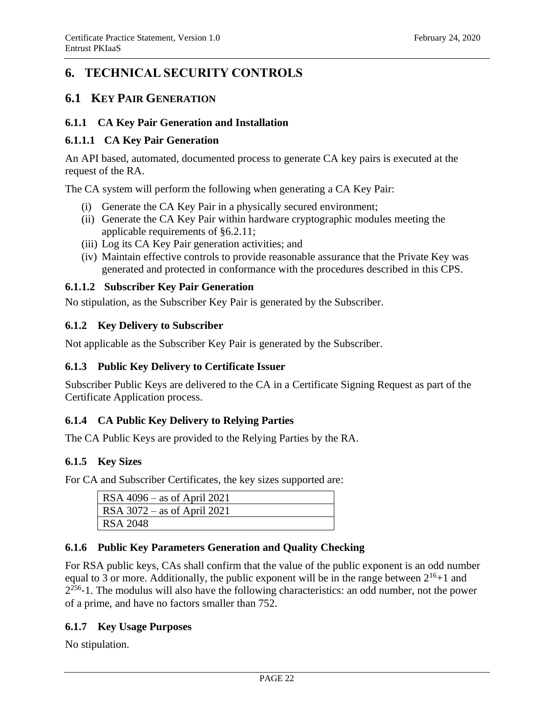## <span id="page-25-0"></span>**6. TECHNICAL SECURITY CONTROLS**

## <span id="page-25-1"></span>**6.1 KEY PAIR GENERATION**

#### **6.1.1 CA Key Pair Generation and Installation**

#### **6.1.1.1 CA Key Pair Generation**

An API based, automated, documented process to generate CA key pairs is executed at the request of the RA.

The CA system will perform the following when generating a CA Key Pair:

- (i) Generate the CA Key Pair in a physically secured environment;
- (ii) Generate the CA Key Pair within hardware cryptographic modules meeting the applicable requirements of §6.2.11;
- (iii) Log its CA Key Pair generation activities; and
- (iv) Maintain effective controls to provide reasonable assurance that the Private Key was generated and protected in conformance with the procedures described in this CPS.

#### **6.1.1.2 Subscriber Key Pair Generation**

No stipulation, as the Subscriber Key Pair is generated by the Subscriber.

#### **6.1.2 Key Delivery to Subscriber**

Not applicable as the Subscriber Key Pair is generated by the Subscriber.

## **6.1.3 Public Key Delivery to Certificate Issuer**

Subscriber Public Keys are delivered to the CA in a Certificate Signing Request as part of the Certificate Application process.

## **6.1.4 CA Public Key Delivery to Relying Parties**

The CA Public Keys are provided to the Relying Parties by the RA.

#### **6.1.5 Key Sizes**

For CA and Subscriber Certificates, the key sizes supported are:

| RSA $4096 -$ as of April 2021 |
|-------------------------------|
| RSA $3072$ – as of April 2021 |
| RSA 2048                      |

## **6.1.6 Public Key Parameters Generation and Quality Checking**

For RSA public keys, CAs shall confirm that the value of the public exponent is an odd number equal to 3 or more. Additionally, the public exponent will be in the range between  $2^{16}+1$  and  $2^{256}$ -1. The modulus will also have the following characteristics: an odd number, not the power of a prime, and have no factors smaller than 752.

## **6.1.7 Key Usage Purposes**

No stipulation.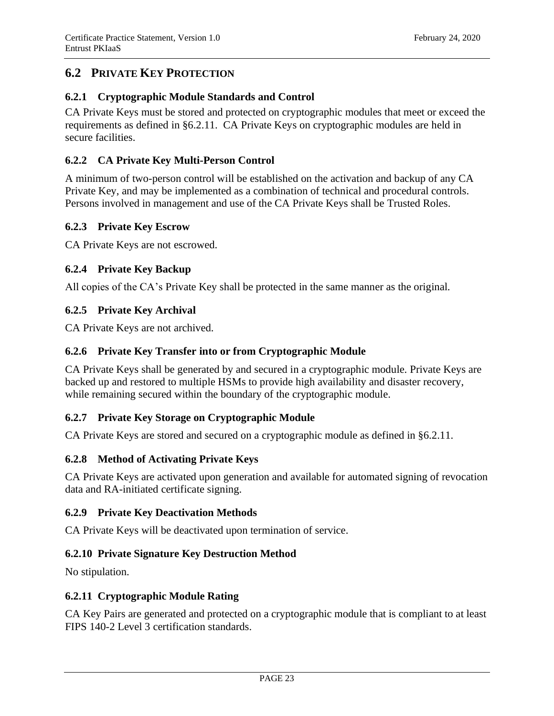## <span id="page-26-0"></span>**6.2 PRIVATE KEY PROTECTION**

## **6.2.1 Cryptographic Module Standards and Control**

CA Private Keys must be stored and protected on cryptographic modules that meet or exceed the requirements as defined in §6.2.11. CA Private Keys on cryptographic modules are held in secure facilities.

## **6.2.2 CA Private Key Multi-Person Control**

A minimum of two-person control will be established on the activation and backup of any CA Private Key, and may be implemented as a combination of technical and procedural controls. Persons involved in management and use of the CA Private Keys shall be Trusted Roles.

## **6.2.3 Private Key Escrow**

CA Private Keys are not escrowed.

## **6.2.4 Private Key Backup**

All copies of the CA's Private Key shall be protected in the same manner as the original.

#### **6.2.5 Private Key Archival**

CA Private Keys are not archived.

#### **6.2.6 Private Key Transfer into or from Cryptographic Module**

CA Private Keys shall be generated by and secured in a cryptographic module. Private Keys are backed up and restored to multiple HSMs to provide high availability and disaster recovery, while remaining secured within the boundary of the cryptographic module.

## **6.2.7 Private Key Storage on Cryptographic Module**

CA Private Keys are stored and secured on a cryptographic module as defined in §6.2.11.

## **6.2.8 Method of Activating Private Keys**

CA Private Keys are activated upon generation and available for automated signing of revocation data and RA-initiated certificate signing.

#### **6.2.9 Private Key Deactivation Methods**

CA Private Keys will be deactivated upon termination of service.

## **6.2.10 Private Signature Key Destruction Method**

No stipulation.

#### **6.2.11 Cryptographic Module Rating**

CA Key Pairs are generated and protected on a cryptographic module that is compliant to at least FIPS 140-2 Level 3 certification standards.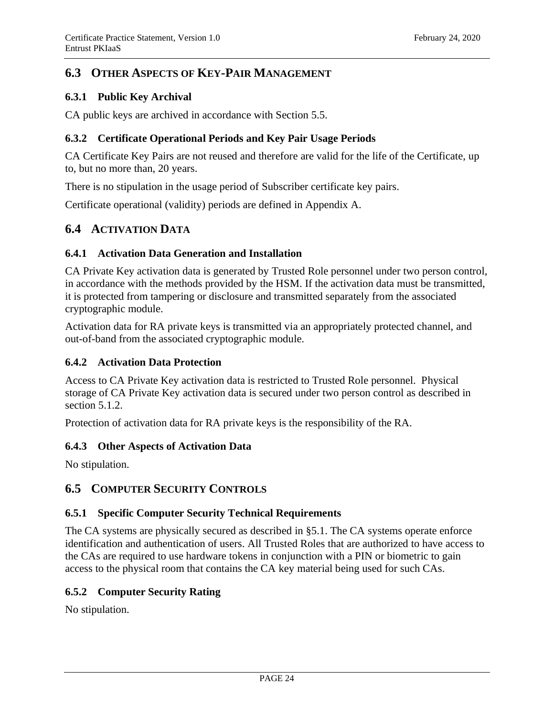## <span id="page-27-0"></span>**6.3 OTHER ASPECTS OF KEY-PAIR MANAGEMENT**

#### **6.3.1 Public Key Archival**

CA public keys are archived in accordance with Section 5.5.

#### **6.3.2 Certificate Operational Periods and Key Pair Usage Periods**

CA Certificate Key Pairs are not reused and therefore are valid for the life of the Certificate, up to, but no more than, 20 years.

There is no stipulation in the usage period of Subscriber certificate key pairs.

Certificate operational (validity) periods are defined in Appendix A.

## <span id="page-27-1"></span>**6.4 ACTIVATION DATA**

#### **6.4.1 Activation Data Generation and Installation**

CA Private Key activation data is generated by Trusted Role personnel under two person control, in accordance with the methods provided by the HSM. If the activation data must be transmitted, it is protected from tampering or disclosure and transmitted separately from the associated cryptographic module.

Activation data for RA private keys is transmitted via an appropriately protected channel, and out-of-band from the associated cryptographic module.

#### **6.4.2 Activation Data Protection**

Access to CA Private Key activation data is restricted to Trusted Role personnel. Physical storage of CA Private Key activation data is secured under two person control as described in section 5.1.2.

Protection of activation data for RA private keys is the responsibility of the RA.

#### **6.4.3 Other Aspects of Activation Data**

No stipulation.

## <span id="page-27-2"></span>**6.5 COMPUTER SECURITY CONTROLS**

#### **6.5.1 Specific Computer Security Technical Requirements**

The CA systems are physically secured as described in §5.1. The CA systems operate enforce identification and authentication of users. All Trusted Roles that are authorized to have access to the CAs are required to use hardware tokens in conjunction with a PIN or biometric to gain access to the physical room that contains the CA key material being used for such CAs.

#### **6.5.2 Computer Security Rating**

No stipulation.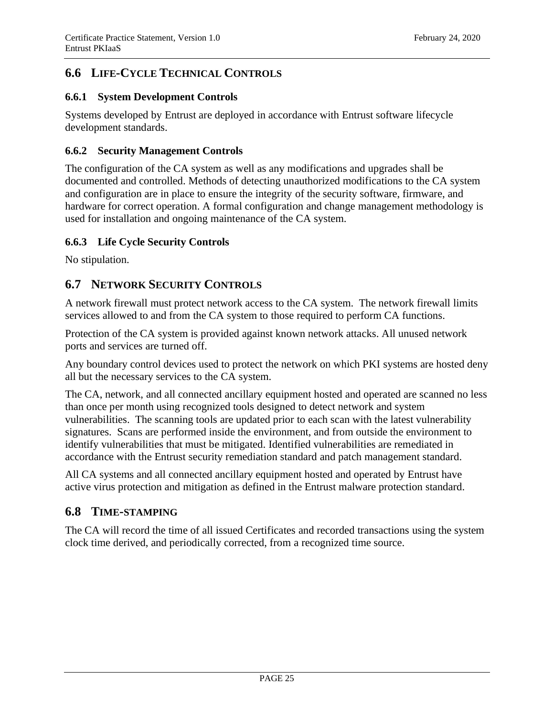## <span id="page-28-0"></span>**6.6 LIFE-CYCLE TECHNICAL CONTROLS**

#### **6.6.1 System Development Controls**

Systems developed by Entrust are deployed in accordance with Entrust software lifecycle development standards.

#### **6.6.2 Security Management Controls**

The configuration of the CA system as well as any modifications and upgrades shall be documented and controlled. Methods of detecting unauthorized modifications to the CA system and configuration are in place to ensure the integrity of the security software, firmware, and hardware for correct operation. A formal configuration and change management methodology is used for installation and ongoing maintenance of the CA system.

#### **6.6.3 Life Cycle Security Controls**

No stipulation.

## <span id="page-28-1"></span>**6.7 NETWORK SECURITY CONTROLS**

A network firewall must protect network access to the CA system. The network firewall limits services allowed to and from the CA system to those required to perform CA functions.

Protection of the CA system is provided against known network attacks. All unused network ports and services are turned off.

Any boundary control devices used to protect the network on which PKI systems are hosted deny all but the necessary services to the CA system.

The CA, network, and all connected ancillary equipment hosted and operated are scanned no less than once per month using recognized tools designed to detect network and system vulnerabilities. The scanning tools are updated prior to each scan with the latest vulnerability signatures. Scans are performed inside the environment, and from outside the environment to identify vulnerabilities that must be mitigated. Identified vulnerabilities are remediated in accordance with the Entrust security remediation standard and patch management standard.

All CA systems and all connected ancillary equipment hosted and operated by Entrust have active virus protection and mitigation as defined in the Entrust malware protection standard.

## <span id="page-28-2"></span>**6.8 TIME-STAMPING**

The CA will record the time of all issued Certificates and recorded transactions using the system clock time derived, and periodically corrected, from a recognized time source.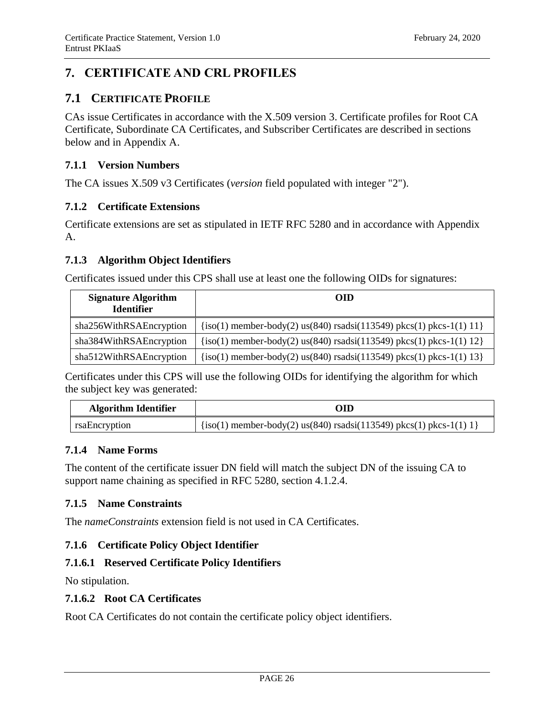## <span id="page-29-0"></span>**7. CERTIFICATE AND CRL PROFILES**

## <span id="page-29-1"></span>**7.1 CERTIFICATE PROFILE**

CAs issue Certificates in accordance with the X.509 version 3. Certificate profiles for Root CA Certificate, Subordinate CA Certificates, and Subscriber Certificates are described in sections below and in Appendix A.

#### **7.1.1 Version Numbers**

The CA issues X.509 v3 Certificates (*version* field populated with integer "2").

#### **7.1.2 Certificate Extensions**

Certificate extensions are set as stipulated in IETF RFC 5280 and in accordance with Appendix A.

#### **7.1.3 Algorithm Object Identifiers**

Certificates issued under this CPS shall use at least one the following OIDs for signatures:

| <b>Signature Algorithm</b><br><b>Identifier</b> | <b>OID</b>                                                                 |  |
|-------------------------------------------------|----------------------------------------------------------------------------|--|
| sha256WithRSAEncryption                         | $\{iso(1)$ member-body(2) us(840) rsadsi(113549) pkcs(1) pkcs-1(1) 11 $\}$ |  |
| sha384WithRSAEncryption                         | $\{iso(1)$ member-body(2) us(840) rsadsi(113549) pkcs(1) pkcs-1(1) 12 $\}$ |  |
| sha512WithRSAEncryption                         | $\{iso(1)$ member-body(2) us(840) rsadsi(113549) pkcs(1) pkcs-1(1) 13 $\}$ |  |

Certificates under this CPS will use the following OIDs for identifying the algorithm for which the subject key was generated:

| <b>Algorithm Identifier</b> | OID                                                                   |  |
|-----------------------------|-----------------------------------------------------------------------|--|
| rsaEncryption               | $\{iso(1)$ member-body(2) us(840) rsadsi(113549) pkcs(1) pkcs-1(1) 1} |  |

## **7.1.4 Name Forms**

The content of the certificate issuer DN field will match the subject DN of the issuing CA to support name chaining as specified in RFC 5280, section 4.1.2.4.

## **7.1.5 Name Constraints**

The *nameConstraints* extension field is not used in CA Certificates.

## **7.1.6 Certificate Policy Object Identifier**

## **7.1.6.1 Reserved Certificate Policy Identifiers**

No stipulation.

## **7.1.6.2 Root CA Certificates**

Root CA Certificates do not contain the certificate policy object identifiers.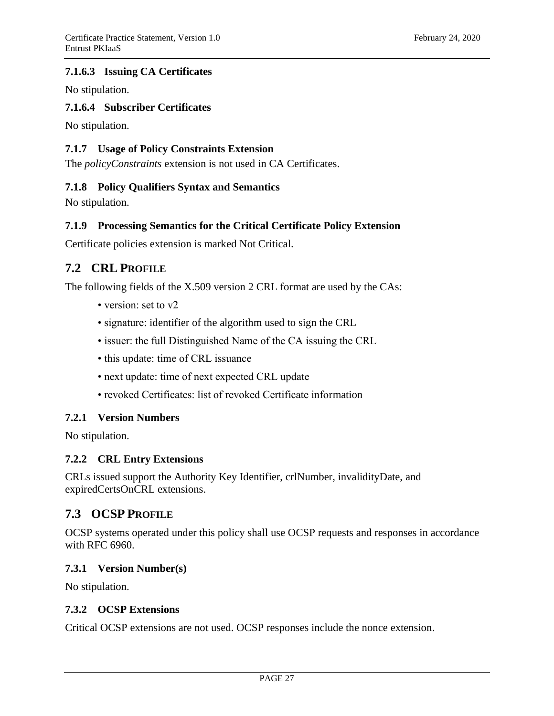## **7.1.6.3 Issuing CA Certificates**

No stipulation.

#### **7.1.6.4 Subscriber Certificates**

No stipulation.

#### **7.1.7 Usage of Policy Constraints Extension**

The *policyConstraints* extension is not used in CA Certificates.

#### **7.1.8 Policy Qualifiers Syntax and Semantics**

No stipulation.

## **7.1.9 Processing Semantics for the Critical Certificate Policy Extension**

Certificate policies extension is marked Not Critical.

## <span id="page-30-0"></span>**7.2 CRL PROFILE**

The following fields of the X.509 version 2 CRL format are used by the CAs:

- version: set to v2
- signature: identifier of the algorithm used to sign the CRL
- issuer: the full Distinguished Name of the CA issuing the CRL
- this update: time of CRL issuance
- next update: time of next expected CRL update
- revoked Certificates: list of revoked Certificate information

#### **7.2.1 Version Numbers**

No stipulation.

#### **7.2.2 CRL Entry Extensions**

CRLs issued support the Authority Key Identifier, crlNumber, invalidityDate, and expiredCertsOnCRL extensions.

## <span id="page-30-1"></span>**7.3 OCSP PROFILE**

OCSP systems operated under this policy shall use OCSP requests and responses in accordance with RFC 6960.

#### **7.3.1 Version Number(s)**

No stipulation.

#### **7.3.2 OCSP Extensions**

Critical OCSP extensions are not used. OCSP responses include the nonce extension.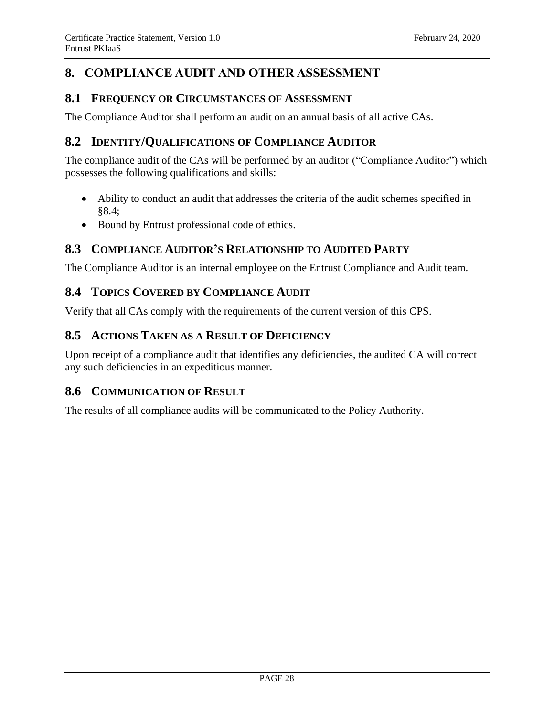## <span id="page-31-0"></span>**8. COMPLIANCE AUDIT AND OTHER ASSESSMENT**

## <span id="page-31-1"></span>**8.1 FREQUENCY OR CIRCUMSTANCES OF ASSESSMENT**

The Compliance Auditor shall perform an audit on an annual basis of all active CAs.

## <span id="page-31-2"></span>**8.2 IDENTITY/QUALIFICATIONS OF COMPLIANCE AUDITOR**

The compliance audit of the CAs will be performed by an auditor ("Compliance Auditor") which possesses the following qualifications and skills:

- Ability to conduct an audit that addresses the criteria of the audit schemes specified in §8.4;
- Bound by Entrust professional code of ethics.

## <span id="page-31-3"></span>**8.3 COMPLIANCE AUDITOR'S RELATIONSHIP TO AUDITED PARTY**

The Compliance Auditor is an internal employee on the Entrust Compliance and Audit team.

## <span id="page-31-4"></span>**8.4 TOPICS COVERED BY COMPLIANCE AUDIT**

Verify that all CAs comply with the requirements of the current version of this CPS.

## <span id="page-31-5"></span>**8.5 ACTIONS TAKEN AS A RESULT OF DEFICIENCY**

Upon receipt of a compliance audit that identifies any deficiencies, the audited CA will correct any such deficiencies in an expeditious manner.

## <span id="page-31-6"></span>**8.6 COMMUNICATION OF RESULT**

The results of all compliance audits will be communicated to the Policy Authority.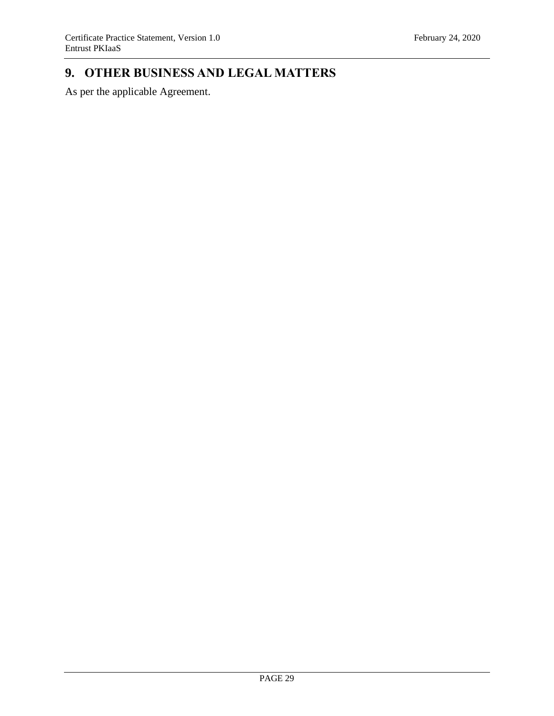## <span id="page-32-0"></span>**9. OTHER BUSINESS AND LEGAL MATTERS**

As per the applicable Agreement.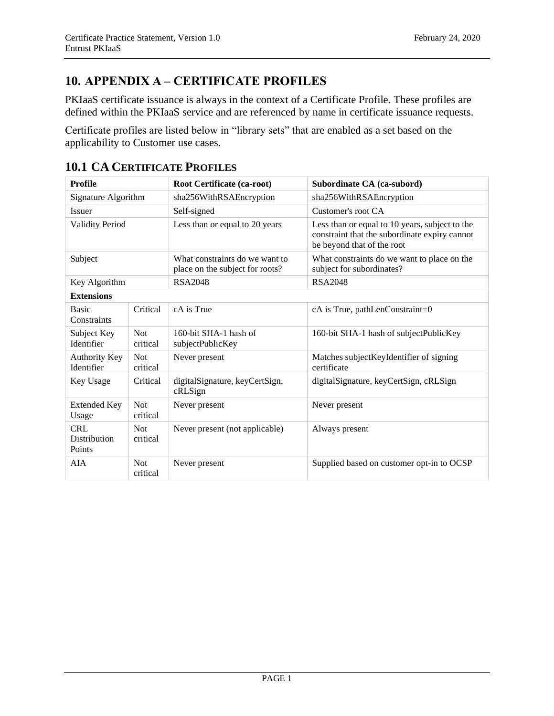## <span id="page-33-0"></span>**10. APPENDIX A – CERTIFICATE PROFILES**

PKIaaS certificate issuance is always in the context of a Certificate Profile. These profiles are defined within the PKIaaS service and are referenced by name in certificate issuance requests.

Certificate profiles are listed below in "library sets" that are enabled as a set based on the applicability to Customer use cases.

| <b>Profile</b>                                         |                        | Root Certificate (ca-root)                                                                                                                                      | Subordinate CA (ca-subord)                                               |  |
|--------------------------------------------------------|------------------------|-----------------------------------------------------------------------------------------------------------------------------------------------------------------|--------------------------------------------------------------------------|--|
| Signature Algorithm                                    |                        | sha256WithRSAEncryption                                                                                                                                         | sha256WithRSAEncryption                                                  |  |
| <b>Issuer</b>                                          |                        | Self-signed                                                                                                                                                     | Customer's root CA                                                       |  |
| <b>Validity Period</b>                                 |                        | Less than or equal to 20 years<br>Less than or equal to 10 years, subject to the<br>constraint that the subordinate expiry cannot<br>be beyond that of the root |                                                                          |  |
| Subject                                                |                        | What constraints do we want to<br>place on the subject for roots?                                                                                               | What constraints do we want to place on the<br>subject for subordinates? |  |
| Key Algorithm                                          |                        | <b>RSA2048</b>                                                                                                                                                  | RSA2048                                                                  |  |
| <b>Extensions</b>                                      |                        |                                                                                                                                                                 |                                                                          |  |
| <b>Basic</b><br>Critical<br>Constraints                |                        | cA is True                                                                                                                                                      | cA is True, pathLenConstraint=0                                          |  |
| Subject Key<br>Identifier                              | <b>Not</b><br>critical | 160-bit SHA-1 hash of<br>subjectPublicKey                                                                                                                       | 160-bit SHA-1 hash of subjectPublicKey                                   |  |
| <b>Authority Key</b><br>Identifier                     | <b>Not</b><br>critical | Never present                                                                                                                                                   | Matches subject Keyl dentifier of signing<br>certificate                 |  |
| Key Usage<br>Critical                                  |                        | digitalSignature, keyCertSign,<br>cRLSign                                                                                                                       | digitalSignature, keyCertSign, cRLSign                                   |  |
| <b>Extended Key</b><br><b>Not</b><br>critical<br>Usage |                        | Never present                                                                                                                                                   | Never present                                                            |  |
| <b>CRL</b><br><b>Distribution</b><br>Points            | <b>Not</b><br>critical | Never present (not applicable)                                                                                                                                  | Always present                                                           |  |
| <b>AIA</b><br><b>Not</b><br>critical                   |                        | Never present                                                                                                                                                   | Supplied based on customer opt-in to OCSP                                |  |

## <span id="page-33-1"></span>**10.1 CA CERTIFICATE PROFILES**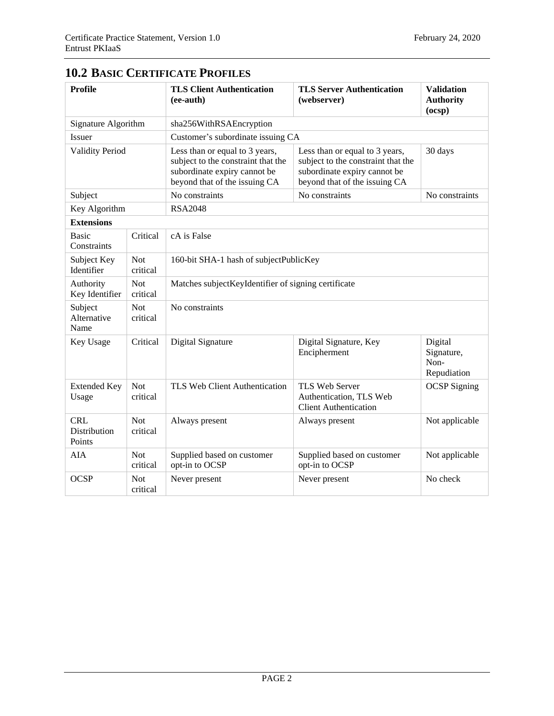| <b>Profile</b>                                           |                                                            | <b>TLS Client Authentication</b><br>(ee-auth)                                                                                         | <b>TLS Server Authentication</b><br>(webserver)                                                                                       | <b>Validation</b><br><b>Authority</b><br>(ocsp) |  |
|----------------------------------------------------------|------------------------------------------------------------|---------------------------------------------------------------------------------------------------------------------------------------|---------------------------------------------------------------------------------------------------------------------------------------|-------------------------------------------------|--|
| Signature Algorithm                                      |                                                            | sha256WithRSAEncryption                                                                                                               |                                                                                                                                       |                                                 |  |
| Issuer                                                   |                                                            | Customer's subordinate issuing CA                                                                                                     |                                                                                                                                       |                                                 |  |
| <b>Validity Period</b>                                   |                                                            | Less than or equal to 3 years,<br>subject to the constraint that the<br>subordinate expiry cannot be<br>beyond that of the issuing CA | Less than or equal to 3 years,<br>subject to the constraint that the<br>subordinate expiry cannot be<br>beyond that of the issuing CA | 30 days                                         |  |
| Subject                                                  |                                                            | No constraints<br>No constraints                                                                                                      |                                                                                                                                       | No constraints                                  |  |
| Key Algorithm                                            |                                                            | <b>RSA2048</b>                                                                                                                        |                                                                                                                                       |                                                 |  |
| <b>Extensions</b>                                        |                                                            |                                                                                                                                       |                                                                                                                                       |                                                 |  |
| <b>Basic</b><br>Critical<br>cA is False<br>Constraints   |                                                            |                                                                                                                                       |                                                                                                                                       |                                                 |  |
| <b>Not</b><br>Subject Key<br>Identifier<br>critical      |                                                            | 160-bit SHA-1 hash of subjectPublicKey                                                                                                |                                                                                                                                       |                                                 |  |
| <b>Not</b><br>Authority<br>Key Identifier<br>critical    |                                                            | Matches subjectKeyIdentifier of signing certificate                                                                                   |                                                                                                                                       |                                                 |  |
| <b>Not</b><br>Subject<br>Alternative<br>critical<br>Name |                                                            | No constraints                                                                                                                        |                                                                                                                                       |                                                 |  |
| Key Usage                                                | Critical                                                   | Digital Signature                                                                                                                     | Digital Signature, Key<br>Encipherment                                                                                                | Digital<br>Signature,<br>Non-<br>Repudiation    |  |
| <b>Extended Key</b><br>Usage                             | <b>Not</b><br>critical                                     | TLS Web Client Authentication                                                                                                         | TLS Web Server<br>Authentication, TLS Web<br><b>Client Authentication</b>                                                             | <b>OCSP</b> Signing                             |  |
| <b>CRL</b><br>Distribution<br>Points                     | <b>Not</b><br>Always present<br>Always present<br>critical |                                                                                                                                       |                                                                                                                                       | Not applicable                                  |  |
| <b>AIA</b>                                               | <b>Not</b><br>critical                                     | Supplied based on customer<br>opt-in to OCSP                                                                                          | Supplied based on customer<br>opt-in to OCSP                                                                                          | Not applicable                                  |  |
| <b>OCSP</b><br><b>Not</b><br>critical                    |                                                            | Never present                                                                                                                         | No check<br>Never present                                                                                                             |                                                 |  |

## <span id="page-34-0"></span>**10.2 BASIC CERTIFICATE PROFILES**